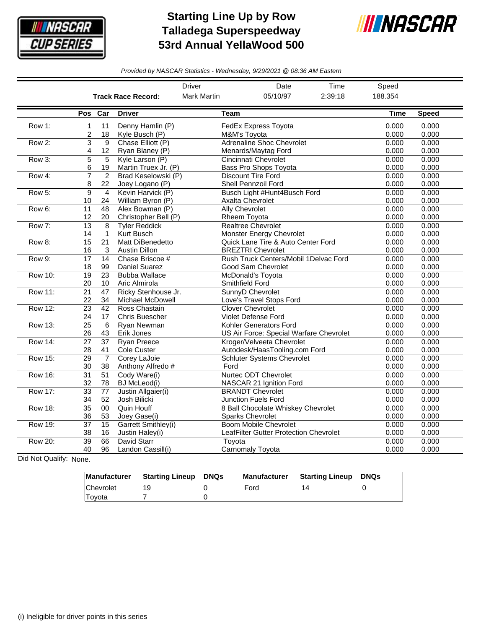

## **Starting Line Up by Row Talladega Superspeedway 53rd Annual YellaWood 500**



*Provided by NASCAR Statistics - Wednesday, 9/29/2021 @ 08:36 AM Eastern*

|                |                       |                       |                                                | <b>Driver</b>      | Date                                                                   | Time    | Speed          |                |
|----------------|-----------------------|-----------------------|------------------------------------------------|--------------------|------------------------------------------------------------------------|---------|----------------|----------------|
|                |                       |                       | <b>Track Race Record:</b>                      | <b>Mark Martin</b> | 05/10/97                                                               | 2:39:18 | 188.354        |                |
|                | Pos Car               |                       | <b>Driver</b>                                  | Team               |                                                                        |         | Time           | <b>Speed</b>   |
| Row 1:         | 1<br>2                | 11<br>18              | Denny Hamlin (P)<br>Kyle Busch (P)             |                    | FedEx Express Toyota<br>M&M's Toyota                                   |         | 0.000<br>0.000 | 0.000<br>0.000 |
| Row 2:         | 3<br>4                | 9<br>12               | Chase Elliott (P)<br>Ryan Blaney (P)           |                    | <b>Adrenaline Shoc Chevrolet</b><br>Menards/Maytag Ford                |         | 0.000<br>0.000 | 0.000<br>0.000 |
| Row 3:         | $\overline{5}$<br>6   | 5<br>19               | Kyle Larson (P)<br>Martin Truex Jr. (P)        |                    | <b>Cincinnati Chevrolet</b><br>Bass Pro Shops Toyota                   |         | 0.000<br>0.000 | 0.000<br>0.000 |
| Row 4:         | $\overline{7}$<br>8   | $\overline{2}$<br>22  | Brad Keselowski (P)<br>Joey Logano (P)         |                    | <b>Discount Tire Ford</b><br>Shell Pennzoil Ford                       |         | 0.000<br>0.000 | 0.000<br>0.000 |
| Row 5:         | 9<br>10               | $\overline{4}$<br>24  | Kevin Harvick (P)<br>William Byron (P)         |                    | Busch Light #Hunt4Busch Ford<br>Axalta Chevrolet                       |         | 0.000<br>0.000 | 0.000<br>0.000 |
| Row 6:         | 11<br>12              | 48<br>20              | Alex Bowman (P)<br>Christopher Bell (P)        |                    | <b>Ally Chevrolet</b><br><b>Rheem Toyota</b>                           |         | 0.000<br>0.000 | 0.000<br>0.000 |
| Row 7:         | $\overline{13}$<br>14 | 8<br>$\mathbf{1}$     | <b>Tyler Reddick</b><br>Kurt Busch             |                    | <b>Realtree Chevrolet</b><br>Monster Energy Chevrolet                  |         | 0.000<br>0.000 | 0.000<br>0.000 |
| Row 8:         | 15<br>16              | $\overline{21}$<br>3  | Matt DiBenedetto<br>Austin Dillon              |                    | Quick Lane Tire & Auto Center Ford<br><b>BREZTRI Chevrolet</b>         |         | 0.000<br>0.000 | 0.000<br>0.000 |
| Row 9:         | $\overline{17}$<br>18 | 14<br>99              | Chase Briscoe #<br><b>Daniel Suarez</b>        |                    | Rush Truck Centers/Mobil 1Delvac Ford<br>Good Sam Chevrolet            |         | 0.000<br>0.000 | 0.000<br>0.000 |
| <b>Row 10:</b> | 19<br>20              | $\overline{23}$<br>10 | <b>Bubba Wallace</b><br>Aric Almirola          |                    | <b>McDonald's Toyota</b><br>Smithfield Ford                            |         | 0.000<br>0.000 | 0.000<br>0.000 |
| <b>Row 11:</b> | $\overline{21}$<br>22 | $\overline{47}$<br>34 | Ricky Stenhouse Jr.<br><b>Michael McDowell</b> |                    | SunnyD Chevrolet<br>Love's Travel Stops Ford                           |         | 0.000<br>0.000 | 0.000<br>0.000 |
| <b>Row 12:</b> | $\overline{23}$<br>24 | $\overline{42}$<br>17 | Ross Chastain<br>Chris Buescher                |                    | <b>Clover Chevrolet</b><br>Violet Defense Ford                         |         | 0.000<br>0.000 | 0.000<br>0.000 |
| <b>Row 13:</b> | $\overline{25}$<br>26 | 6<br>43               | Ryan Newman<br>Erik Jones                      |                    | Kohler Generators Ford<br>US Air Force: Special Warfare Chevrolet      |         | 0.000<br>0.000 | 0.000<br>0.000 |
| <b>Row 14:</b> | $\overline{27}$<br>28 | $\overline{37}$<br>41 | <b>Ryan Preece</b><br>Cole Custer              |                    | Kroger/Velveeta Chevrolet<br>Autodesk/HaasTooling.com Ford             |         | 0.000<br>0.000 | 0.000<br>0.000 |
| <b>Row 15:</b> | $\overline{29}$<br>30 | $\overline{7}$<br>38  | Corey LaJoie<br>Anthony Alfredo #              | Ford               | <b>Schluter Systems Chevrolet</b>                                      |         | 0.000<br>0.000 | 0.000<br>0.000 |
| <b>Row 16:</b> | $\overline{31}$<br>32 | $\overline{51}$<br>78 | Cody Ware(i)<br><b>BJ</b> McLeod(i)            |                    | <b>Nurtec ODT Chevrolet</b><br>NASCAR 21 Ignition Ford                 |         | 0.000<br>0.000 | 0.000<br>0.000 |
| <b>Row 17:</b> | $\overline{33}$<br>34 | 77<br>52              | Justin Allgaier(i)<br>Josh Bilicki             |                    | <b>BRANDT Chevrolet</b><br>Junction Fuels Ford                         |         | 0.000<br>0.000 | 0.000<br>0.000 |
| <b>Row 18:</b> | $\overline{35}$<br>36 | 00<br>53              | Quin Houff<br>Joey Gase(i)                     |                    | 8 Ball Chocolate Whiskey Chevrolet<br><b>Sparks Chevrolet</b>          |         | 0.000<br>0.000 | 0.000<br>0.000 |
| Row 19:        | $\overline{37}$<br>38 | $\overline{15}$<br>16 | Garrett Smithley(i)<br>Justin Haley(i)         |                    | <b>Boom Mobile Chevrolet</b><br>LeafFilter Gutter Protection Chevrolet |         | 0.000<br>0.000 | 0.000<br>0.000 |
| <b>Row 20:</b> | $\overline{39}$<br>40 | 66<br>96              | David Starr<br>Landon Cassill(i)               | Toyota             | Carnomaly Toyota                                                       |         | 0.000<br>0.000 | 0.000<br>0.000 |

Did Not Qualify: None.

| <b>Manufacturer</b> | <b>Starting Lineup DNQs</b> | <b>Manufacturer</b> | <b>Starting Lineup</b> | DNQs |
|---------------------|-----------------------------|---------------------|------------------------|------|
| Chevrolet           |                             | Ford                | 14                     |      |
| Toyota              |                             |                     |                        |      |